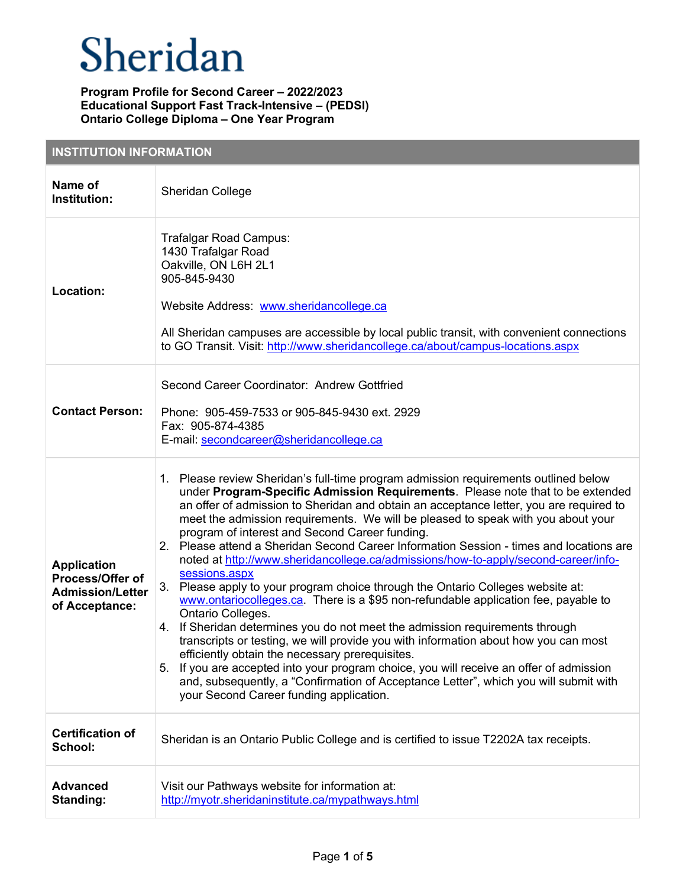| <b>INSTITUTION INFORMATION</b>                                                      |                                                                                                                                                                                                                                                                                                                                                                                                                                                                                                                                                                                                                                                                                                                                                                                                                                                                                                                                                                                                                                                                                                                                                                                                                                                                     |  |
|-------------------------------------------------------------------------------------|---------------------------------------------------------------------------------------------------------------------------------------------------------------------------------------------------------------------------------------------------------------------------------------------------------------------------------------------------------------------------------------------------------------------------------------------------------------------------------------------------------------------------------------------------------------------------------------------------------------------------------------------------------------------------------------------------------------------------------------------------------------------------------------------------------------------------------------------------------------------------------------------------------------------------------------------------------------------------------------------------------------------------------------------------------------------------------------------------------------------------------------------------------------------------------------------------------------------------------------------------------------------|--|
| Name of<br>Institution:                                                             | Sheridan College                                                                                                                                                                                                                                                                                                                                                                                                                                                                                                                                                                                                                                                                                                                                                                                                                                                                                                                                                                                                                                                                                                                                                                                                                                                    |  |
| Location:                                                                           | Trafalgar Road Campus:<br>1430 Trafalgar Road<br>Oakville, ON L6H 2L1<br>905-845-9430<br>Website Address: www.sheridancollege.ca<br>All Sheridan campuses are accessible by local public transit, with convenient connections<br>to GO Transit. Visit: http://www.sheridancollege.ca/about/campus-locations.aspx                                                                                                                                                                                                                                                                                                                                                                                                                                                                                                                                                                                                                                                                                                                                                                                                                                                                                                                                                    |  |
| <b>Contact Person:</b>                                                              | Second Career Coordinator: Andrew Gottfried<br>Phone: 905-459-7533 or 905-845-9430 ext. 2929<br>Fax: 905-874-4385<br>E-mail: secondcareer@sheridancollege.ca                                                                                                                                                                                                                                                                                                                                                                                                                                                                                                                                                                                                                                                                                                                                                                                                                                                                                                                                                                                                                                                                                                        |  |
| <b>Application</b><br>Process/Offer of<br><b>Admission/Letter</b><br>of Acceptance: | 1. Please review Sheridan's full-time program admission requirements outlined below<br>under Program-Specific Admission Requirements. Please note that to be extended<br>an offer of admission to Sheridan and obtain an acceptance letter, you are required to<br>meet the admission requirements. We will be pleased to speak with you about your<br>program of interest and Second Career funding.<br>Please attend a Sheridan Second Career Information Session - times and locations are<br>2.<br>noted at http://www.sheridancollege.ca/admissions/how-to-apply/second-career/info-<br>sessions.aspx<br>3.<br>Please apply to your program choice through the Ontario Colleges website at:<br>www.ontariocolleges.ca. There is a \$95 non-refundable application fee, payable to<br>Ontario Colleges.<br>4. If Sheridan determines you do not meet the admission requirements through<br>transcripts or testing, we will provide you with information about how you can most<br>efficiently obtain the necessary prerequisites.<br>5. If you are accepted into your program choice, you will receive an offer of admission<br>and, subsequently, a "Confirmation of Acceptance Letter", which you will submit with<br>your Second Career funding application. |  |
| <b>Certification of</b><br>School:                                                  | Sheridan is an Ontario Public College and is certified to issue T2202A tax receipts.                                                                                                                                                                                                                                                                                                                                                                                                                                                                                                                                                                                                                                                                                                                                                                                                                                                                                                                                                                                                                                                                                                                                                                                |  |
| <b>Advanced</b><br>Standing:                                                        | Visit our Pathways website for information at:<br>http://myotr.sheridaninstitute.ca/mypathways.html                                                                                                                                                                                                                                                                                                                                                                                                                                                                                                                                                                                                                                                                                                                                                                                                                                                                                                                                                                                                                                                                                                                                                                 |  |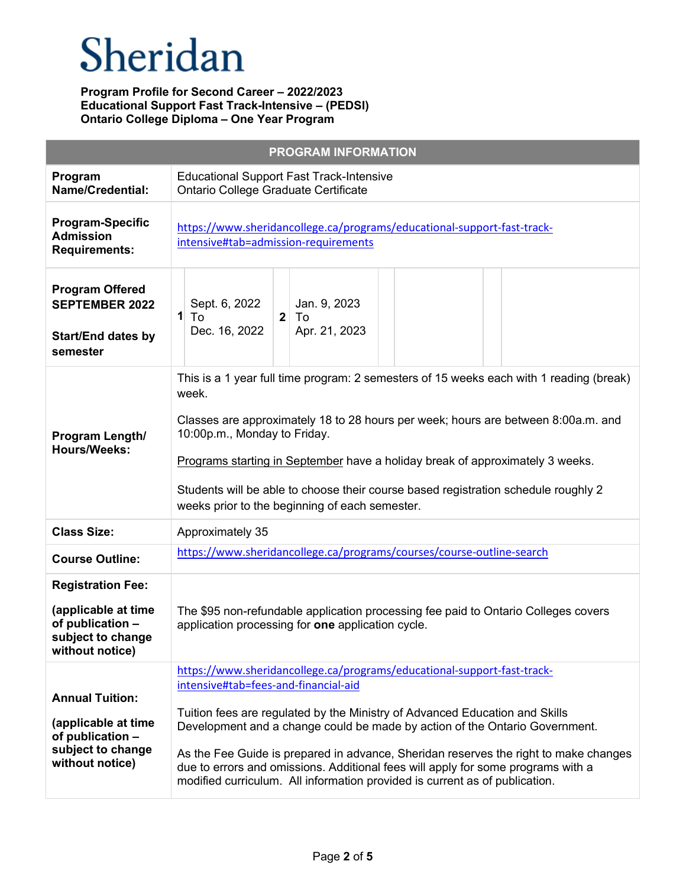|                                                                                                           | <b>PROGRAM INFORMATION</b>                                                                                                                                                                                                                                                                                                                                                                                                                                                                                                               |
|-----------------------------------------------------------------------------------------------------------|------------------------------------------------------------------------------------------------------------------------------------------------------------------------------------------------------------------------------------------------------------------------------------------------------------------------------------------------------------------------------------------------------------------------------------------------------------------------------------------------------------------------------------------|
| Program<br><b>Name/Credential:</b>                                                                        | <b>Educational Support Fast Track-Intensive</b><br>Ontario College Graduate Certificate                                                                                                                                                                                                                                                                                                                                                                                                                                                  |
| <b>Program-Specific</b><br><b>Admission</b><br><b>Requirements:</b>                                       | https://www.sheridancollege.ca/programs/educational-support-fast-track-<br>intensive#tab=admission-requirements                                                                                                                                                                                                                                                                                                                                                                                                                          |
| <b>Program Offered</b><br><b>SEPTEMBER 2022</b><br><b>Start/End dates by</b><br>semester                  | Sept. 6, 2022<br>Jan. 9, 2023<br>$\mathbf{1}$<br>To<br>$\mathbf{2}$<br>To<br>Dec. 16, 2022<br>Apr. 21, 2023                                                                                                                                                                                                                                                                                                                                                                                                                              |
| Program Length/<br><b>Hours/Weeks:</b>                                                                    | This is a 1 year full time program: 2 semesters of 15 weeks each with 1 reading (break)<br>week.<br>Classes are approximately 18 to 28 hours per week; hours are between 8:00a.m. and<br>10:00p.m., Monday to Friday.<br>Programs starting in September have a holiday break of approximately 3 weeks.<br>Students will be able to choose their course based registration schedule roughly 2<br>weeks prior to the beginning of each semester.                                                                                           |
| <b>Class Size:</b>                                                                                        | Approximately 35                                                                                                                                                                                                                                                                                                                                                                                                                                                                                                                         |
| <b>Course Outline:</b>                                                                                    | https://www.sheridancollege.ca/programs/courses/course-outline-search                                                                                                                                                                                                                                                                                                                                                                                                                                                                    |
| <b>Registration Fee:</b>                                                                                  |                                                                                                                                                                                                                                                                                                                                                                                                                                                                                                                                          |
| (applicable at time<br>of publication -<br>subject to change<br>without notice)                           | The \$95 non-refundable application processing fee paid to Ontario Colleges covers<br>application processing for one application cycle.                                                                                                                                                                                                                                                                                                                                                                                                  |
| <b>Annual Tuition:</b><br>(applicable at time<br>of publication -<br>subject to change<br>without notice) | https://www.sheridancollege.ca/programs/educational-support-fast-track-<br>intensive#tab=fees-and-financial-aid<br>Tuition fees are regulated by the Ministry of Advanced Education and Skills<br>Development and a change could be made by action of the Ontario Government.<br>As the Fee Guide is prepared in advance, Sheridan reserves the right to make changes<br>due to errors and omissions. Additional fees will apply for some programs with a<br>modified curriculum. All information provided is current as of publication. |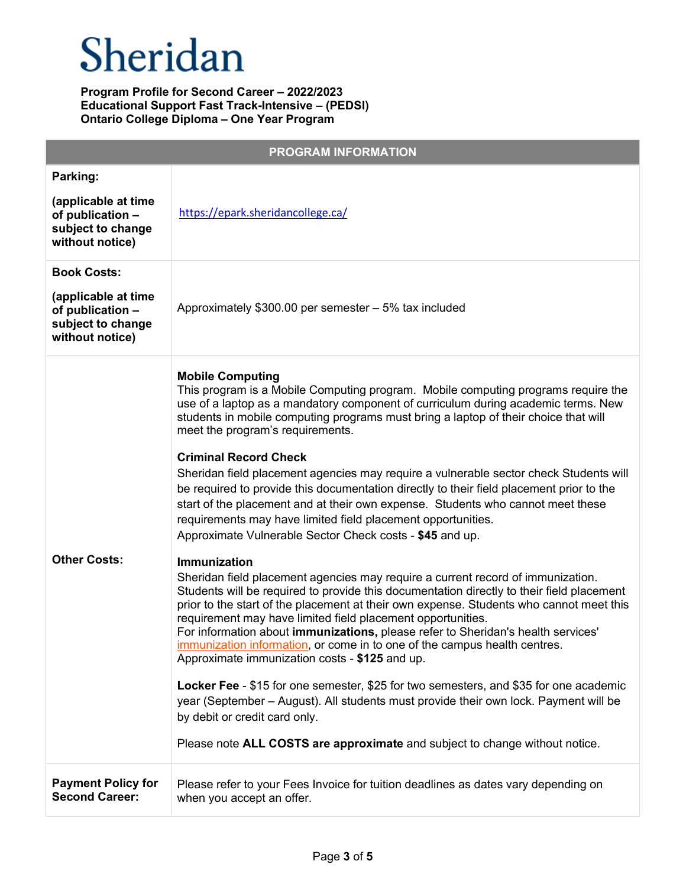|                                                                                                       | <b>PROGRAM INFORMATION</b>                                                                                                                                                                                                                                                                                                                                                                                                                                                                                                                                                                                                                                                                                                                                                                                                                                                                                                                                                                                                                                                                                                                                                                                                                                                                                                                                                                                                                                                                                                                                                                                                                             |
|-------------------------------------------------------------------------------------------------------|--------------------------------------------------------------------------------------------------------------------------------------------------------------------------------------------------------------------------------------------------------------------------------------------------------------------------------------------------------------------------------------------------------------------------------------------------------------------------------------------------------------------------------------------------------------------------------------------------------------------------------------------------------------------------------------------------------------------------------------------------------------------------------------------------------------------------------------------------------------------------------------------------------------------------------------------------------------------------------------------------------------------------------------------------------------------------------------------------------------------------------------------------------------------------------------------------------------------------------------------------------------------------------------------------------------------------------------------------------------------------------------------------------------------------------------------------------------------------------------------------------------------------------------------------------------------------------------------------------------------------------------------------------|
| Parking:<br>(applicable at time<br>of publication -<br>subject to change<br>without notice)           | https://epark.sheridancollege.ca/                                                                                                                                                                                                                                                                                                                                                                                                                                                                                                                                                                                                                                                                                                                                                                                                                                                                                                                                                                                                                                                                                                                                                                                                                                                                                                                                                                                                                                                                                                                                                                                                                      |
| <b>Book Costs:</b><br>(applicable at time<br>of publication -<br>subject to change<br>without notice) | Approximately $$300.00$ per semester $-5\%$ tax included                                                                                                                                                                                                                                                                                                                                                                                                                                                                                                                                                                                                                                                                                                                                                                                                                                                                                                                                                                                                                                                                                                                                                                                                                                                                                                                                                                                                                                                                                                                                                                                               |
| <b>Other Costs:</b>                                                                                   | <b>Mobile Computing</b><br>This program is a Mobile Computing program. Mobile computing programs require the<br>use of a laptop as a mandatory component of curriculum during academic terms. New<br>students in mobile computing programs must bring a laptop of their choice that will<br>meet the program's requirements.<br><b>Criminal Record Check</b><br>Sheridan field placement agencies may require a vulnerable sector check Students will<br>be required to provide this documentation directly to their field placement prior to the<br>start of the placement and at their own expense. Students who cannot meet these<br>requirements may have limited field placement opportunities.<br>Approximate Vulnerable Sector Check costs - \$45 and up.<br>Immunization<br>Sheridan field placement agencies may require a current record of immunization.<br>Students will be required to provide this documentation directly to their field placement<br>prior to the start of the placement at their own expense. Students who cannot meet this<br>requirement may have limited field placement opportunities.<br>For information about <i>immunizations</i> , please refer to Sheridan's health services'<br>immunization information, or come in to one of the campus health centres.<br>Approximate immunization costs - \$125 and up.<br>Locker Fee - \$15 for one semester, \$25 for two semesters, and \$35 for one academic<br>year (September – August). All students must provide their own lock. Payment will be<br>by debit or credit card only.<br>Please note ALL COSTS are approximate and subject to change without notice. |
| <b>Payment Policy for</b><br><b>Second Career:</b>                                                    | Please refer to your Fees Invoice for tuition deadlines as dates vary depending on<br>when you accept an offer.                                                                                                                                                                                                                                                                                                                                                                                                                                                                                                                                                                                                                                                                                                                                                                                                                                                                                                                                                                                                                                                                                                                                                                                                                                                                                                                                                                                                                                                                                                                                        |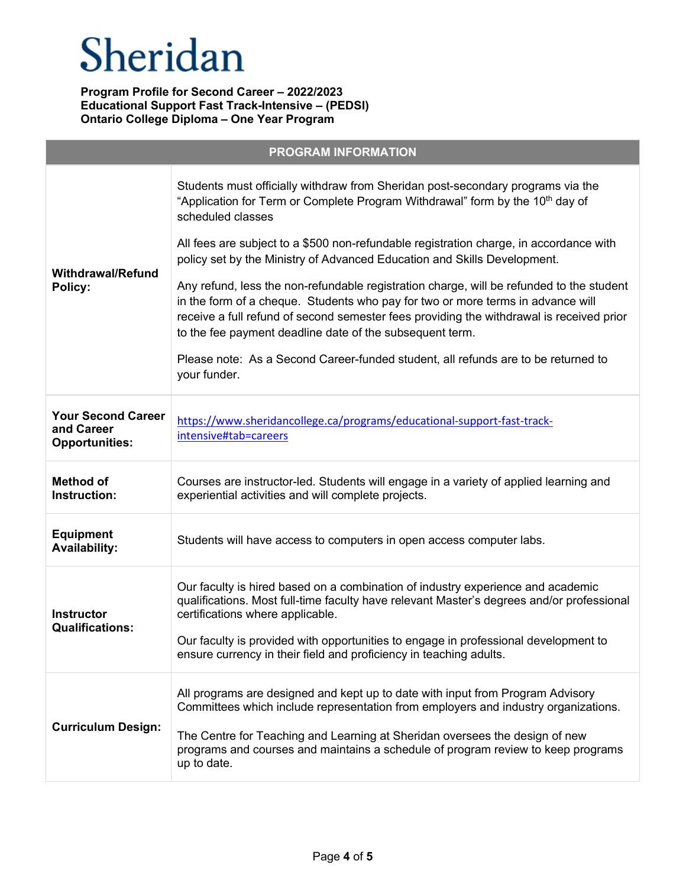| <b>PROGRAM INFORMATION</b>                                       |                                                                                                                                                                                                                                                                                                                                     |  |
|------------------------------------------------------------------|-------------------------------------------------------------------------------------------------------------------------------------------------------------------------------------------------------------------------------------------------------------------------------------------------------------------------------------|--|
| <b>Withdrawal/Refund</b><br>Policy:                              | Students must officially withdraw from Sheridan post-secondary programs via the<br>"Application for Term or Complete Program Withdrawal" form by the 10 <sup>th</sup> day of<br>scheduled classes                                                                                                                                   |  |
|                                                                  | All fees are subject to a \$500 non-refundable registration charge, in accordance with<br>policy set by the Ministry of Advanced Education and Skills Development.                                                                                                                                                                  |  |
|                                                                  | Any refund, less the non-refundable registration charge, will be refunded to the student<br>in the form of a cheque. Students who pay for two or more terms in advance will<br>receive a full refund of second semester fees providing the withdrawal is received prior<br>to the fee payment deadline date of the subsequent term. |  |
|                                                                  | Please note: As a Second Career-funded student, all refunds are to be returned to<br>your funder.                                                                                                                                                                                                                                   |  |
| <b>Your Second Career</b><br>and Career<br><b>Opportunities:</b> | https://www.sheridancollege.ca/programs/educational-support-fast-track-<br>intensive#tab=careers                                                                                                                                                                                                                                    |  |
| <b>Method of</b><br>Instruction:                                 | Courses are instructor-led. Students will engage in a variety of applied learning and<br>experiential activities and will complete projects.                                                                                                                                                                                        |  |
| <b>Equipment</b><br><b>Availability:</b>                         | Students will have access to computers in open access computer labs.                                                                                                                                                                                                                                                                |  |
| <b>Instructor</b><br><b>Qualifications:</b>                      | Our faculty is hired based on a combination of industry experience and academic<br>qualifications. Most full-time faculty have relevant Master's degrees and/or professional<br>certifications where applicable.                                                                                                                    |  |
|                                                                  | Our faculty is provided with opportunities to engage in professional development to<br>ensure currency in their field and proficiency in teaching adults.                                                                                                                                                                           |  |
| <b>Curriculum Design:</b>                                        | All programs are designed and kept up to date with input from Program Advisory<br>Committees which include representation from employers and industry organizations.                                                                                                                                                                |  |
|                                                                  | The Centre for Teaching and Learning at Sheridan oversees the design of new<br>programs and courses and maintains a schedule of program review to keep programs<br>up to date.                                                                                                                                                      |  |